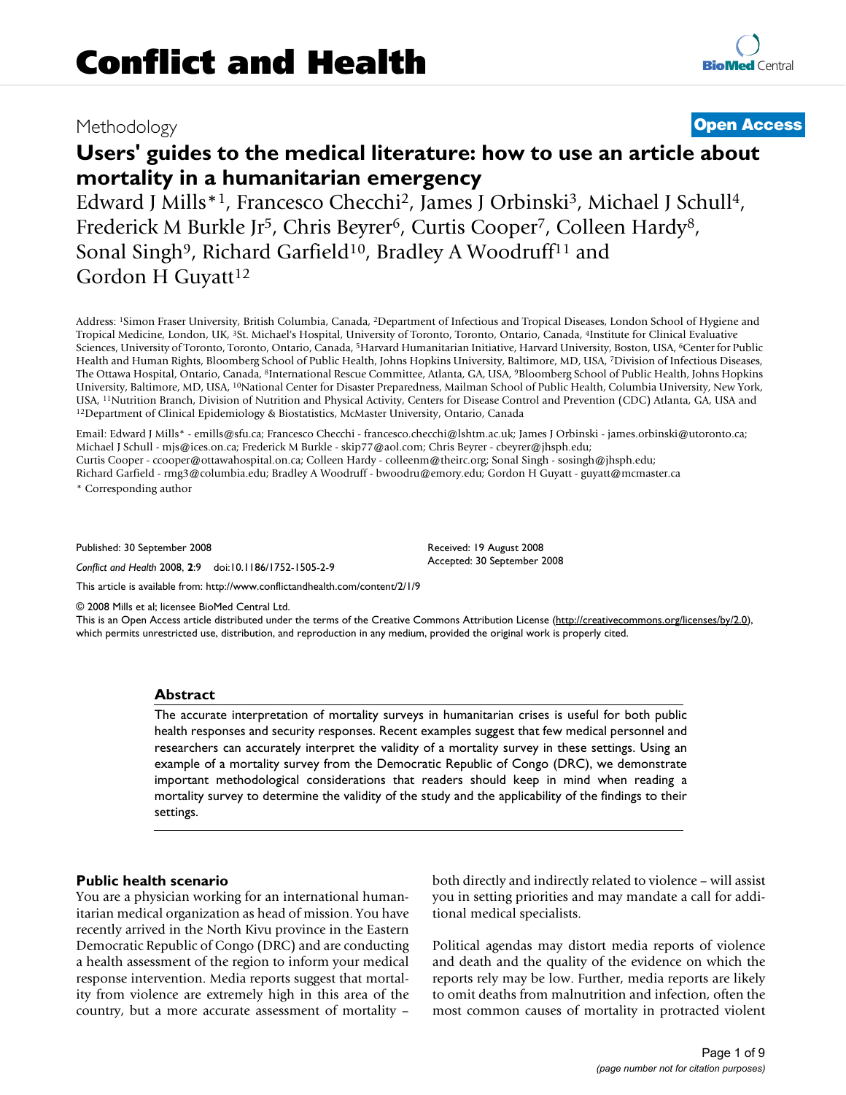# Methodology **[Open Access](http://www.biomedcentral.com/info/about/charter/)**

# **Users' guides to the medical literature: how to use an article about mortality in a humanitarian emergency**

Edward J Mills<sup>\*1</sup>, Francesco Checchi<sup>2</sup>, James J Orbinski<sup>3</sup>, Michael J Schull<sup>4</sup>, Frederick M Burkle Jr<sup>5</sup>, Chris Beyrer<sup>6</sup>, Curtis Cooper<sup>7</sup>, Colleen Hardy<sup>8</sup>, Sonal Singh<sup>9</sup>, Richard Garfield<sup>10</sup>, Bradley A Woodruff<sup>11</sup> and Gordon H Guyatt<sup>12</sup>

Address: 1Simon Fraser University, British Columbia, Canada, 2Department of Infectious and Tropical Diseases, London School of Hygiene and Tropical Medicine, London, UK, 3St. Michael's Hospital, University of Toronto, Toronto, Ontario, Canada, 4Institute for Clinical Evaluative Sciences, University of Toronto, Toronto, Ontario, Canada, <sup>5</sup>Harvard Humanitarian Initiative, Harvard University, Boston, USA, <sup>6</sup>Center for Public Health and Human Rights, Bloomberg School of Public Health, Johns Hopkins University, Baltimore, MD, USA, 7Division of Infectious Diseases, The Ottawa Hospital, Ontario, Canada, <sup>8</sup>International Rescue Committee, Atlanta, GA, USA, <sup>9</sup>Bloomberg School of Public Health, Johns Hopkins University, Baltimore, MD, USA, 10National Center for Disaster Preparedness, Mailman School of Public Health, Columbia University, New York, USA, <sup>11</sup>Nutrition Branch, Division of Nutrition and Physical Activity, Centers for Disease Control and Prevention (CDC) Atlanta, GA, USA and <sup>12</sup>Department of Clinical Epidemiology & Biostatistics, McMaster University, On

Email: Edward J Mills\* - emills@sfu.ca; Francesco Checchi - francesco.checchi@lshtm.ac.uk; James J Orbinski - james.orbinski@utoronto.ca; Michael J Schull - mjs@ices.on.ca; Frederick M Burkle - skip77@aol.com; Chris Beyrer - cbeyrer@jhsph.edu; Curtis Cooper - ccooper@ottawahospital.on.ca; Colleen Hardy - colleenm@theirc.org; Sonal Singh - sosingh@jhsph.edu; Richard Garfield - rmg3@columbia.edu; Bradley A Woodruff - bwoodru@emory.edu; Gordon H Guyatt - guyatt@mcmaster.ca

\* Corresponding author

Published: 30 September 2008

*Conflict and Health* 2008, **2**:9 doi:10.1186/1752-1505-2-9

Received: 19 August 2008 Accepted: 30 September 2008

[This article is available from: http://www.conflictandhealth.com/content/2/1/9](http://www.conflictandhealth.com/content/2/1/9)

© 2008 Mills et al; licensee BioMed Central Ltd.

This is an Open Access article distributed under the terms of the Creative Commons Attribution License [\(http://creativecommons.org/licenses/by/2.0\)](http://creativecommons.org/licenses/by/2.0), which permits unrestricted use, distribution, and reproduction in any medium, provided the original work is properly cited.

#### **Abstract**

The accurate interpretation of mortality surveys in humanitarian crises is useful for both public health responses and security responses. Recent examples suggest that few medical personnel and researchers can accurately interpret the validity of a mortality survey in these settings. Using an example of a mortality survey from the Democratic Republic of Congo (DRC), we demonstrate important methodological considerations that readers should keep in mind when reading a mortality survey to determine the validity of the study and the applicability of the findings to their settings.

#### **Public health scenario**

You are a physician working for an international humanitarian medical organization as head of mission. You have recently arrived in the North Kivu province in the Eastern Democratic Republic of Congo (DRC) and are conducting a health assessment of the region to inform your medical response intervention. Media reports suggest that mortality from violence are extremely high in this area of the country, but a more accurate assessment of mortality –

both directly and indirectly related to violence – will assist you in setting priorities and may mandate a call for additional medical specialists.

Political agendas may distort media reports of violence and death and the quality of the evidence on which the reports rely may be low. Further, media reports are likely to omit deaths from malnutrition and infection, often the most common causes of mortality in protracted violent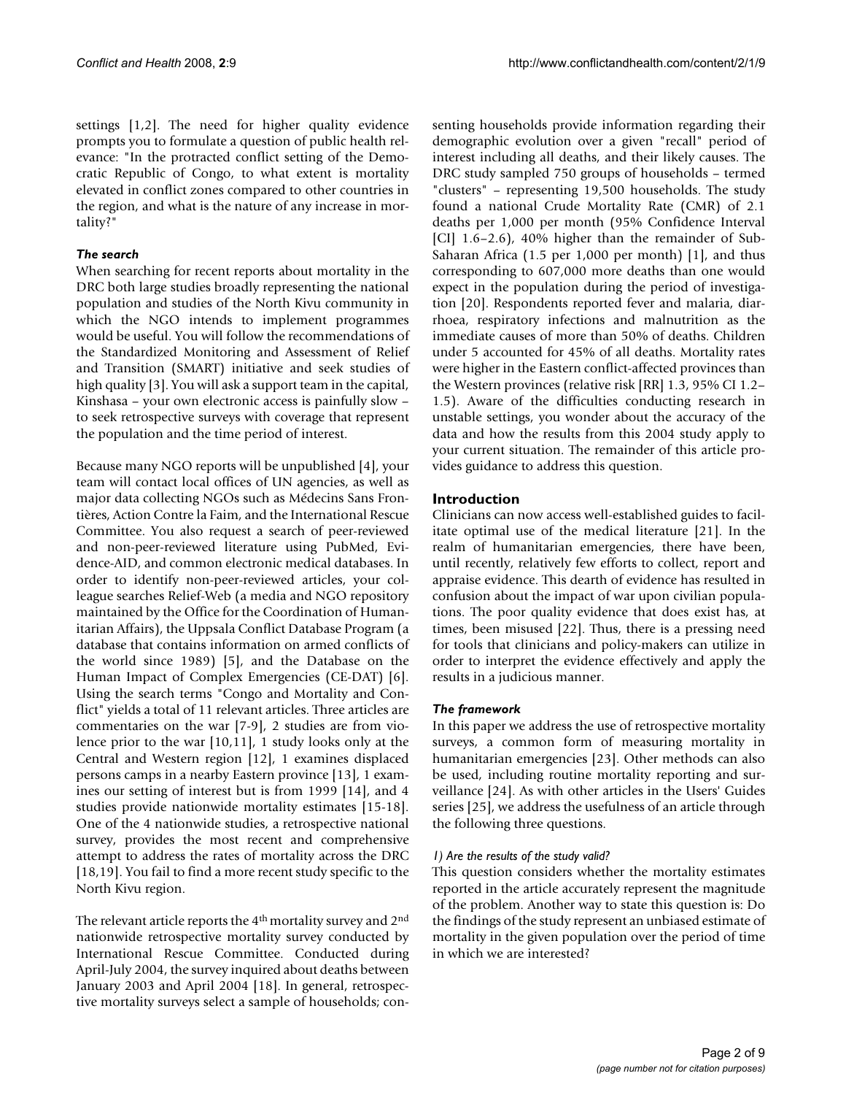settings [1,[2\]](#page-7-0). The need for higher quality evidence prompts you to formulate a question of public health relevance: "In the protracted conflict setting of the Democratic Republic of Congo, to what extent is mortality elevated in conflict zones compared to other countries in the region, and what is the nature of any increase in mortality?"

#### *The search*

When searching for recent reports about mortality in the DRC both large studies broadly representing the national population and studies of the North Kivu community in which the NGO intends to implement programmes would be useful. You will follow the recommendations of the Standardized Monitoring and Assessment of Relief and Transition (SMART) initiative and seek studies of high quality [3]. You will ask a support team in the capital, Kinshasa – your own electronic access is painfully slow – to seek retrospective surveys with coverage that represent the population and the time period of interest.

Because many NGO reports will be unpublished [4], your team will contact local offices of UN agencies, as well as major data collecting NGOs such as Médecins Sans Frontières, Action Contre la Faim, and the International Rescue Committee. You also request a search of peer-reviewed and non-peer-reviewed literature using PubMed, Evidence-AID, and common electronic medical databases. In order to identify non-peer-reviewed articles, your colleague searches Relief-Web (a media and NGO repository maintained by the Office for the Coordination of Humanitarian Affairs), the Uppsala Conflict Database Program (a database that contains information on armed conflicts of the world since 1989) [5], and the Database on the Human Impact of Complex Emergencies (CE-DAT) [6]. Using the search terms "Congo and Mortality and Conflict" yields a total of 11 relevant articles. Three articles are commentaries on the war [7-9], 2 studies are from violence prior to the war [10[,11](#page-7-1)], 1 study looks only at the Central and Western region [12], 1 examines displaced persons camps in a nearby Eastern province [13], 1 examines our setting of interest but is from 1999 [14], and 4 studies provide nationwide mortality estimates [15-18]. One of the 4 nationwide studies, a retrospective national survey, provides the most recent and comprehensive attempt to address the rates of mortality across the DRC [18,19]. You fail to find a more recent study specific to the North Kivu region.

The relevant article reports the 4<sup>th</sup> mortality survey and 2<sup>nd</sup> nationwide retrospective mortality survey conducted by International Rescue Committee. Conducted during April-July 2004, the survey inquired about deaths between January 2003 and April 2004 [18]. In general, retrospective mortality surveys select a sample of households; consenting households provide information regarding their demographic evolution over a given "recall" period of interest including all deaths, and their likely causes. The DRC study sampled 750 groups of households – termed "clusters" – representing 19,500 households. The study found a national Crude Mortality Rate (CMR) of 2.1 deaths per 1,000 per month (95% Confidence Interval [CI] 1.6–2.6), 40% higher than the remainder of Sub-Saharan Africa (1.5 per 1,000 per month) [1], and thus corresponding to 607,000 more deaths than one would expect in the population during the period of investigation [20]. Respondents reported fever and malaria, diarrhoea, respiratory infections and malnutrition as the immediate causes of more than 50% of deaths. Children under 5 accounted for 45% of all deaths. Mortality rates were higher in the Eastern conflict-affected provinces than the Western provinces (relative risk [RR] 1.3, 95% CI 1.2– 1.5). Aware of the difficulties conducting research in unstable settings, you wonder about the accuracy of the data and how the results from this 2004 study apply to your current situation. The remainder of this article provides guidance to address this question.

# **Introduction**

Clinicians can now access well-established guides to facilitate optimal use of the medical literature [21]. In the realm of humanitarian emergencies, there have been, until recently, relatively few efforts to collect, report and appraise evidence. This dearth of evidence has resulted in confusion about the impact of war upon civilian populations. The poor quality evidence that does exist has, at times, been misused [22]. Thus, there is a pressing need for tools that clinicians and policy-makers can utilize in order to interpret the evidence effectively and apply the results in a judicious manner.

## *The framework*

In this paper we address the use of retrospective mortality surveys, a common form of measuring mortality in humanitarian emergencies [23]. Other methods can also be used, including routine mortality reporting and surveillance [24]. As with other articles in the Users' Guides series [25], we address the usefulness of an article through the following three questions.

# *1) Are the results of the study valid?*

This question considers whether the mortality estimates reported in the article accurately represent the magnitude of the problem. Another way to state this question is: Do the findings of the study represent an unbiased estimate of mortality in the given population over the period of time in which we are interested?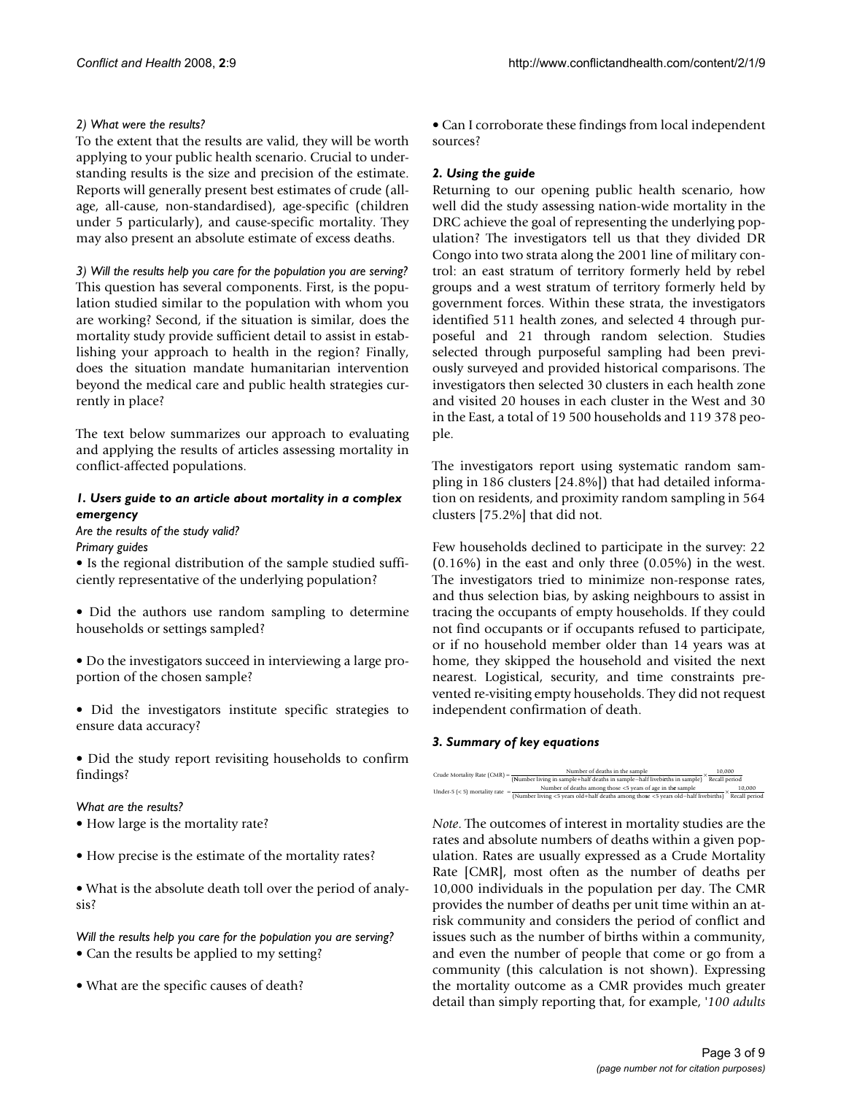#### *2) What were the results?*

To the extent that the results are valid, they will be worth applying to your public health scenario. Crucial to understanding results is the size and precision of the estimate. Reports will generally present best estimates of crude (allage, all-cause, non-standardised), age-specific (children under 5 particularly), and cause-specific mortality. They may also present an absolute estimate of excess deaths.

*3) Will the results help you care for the population you are serving?* This question has several components. First, is the population studied similar to the population with whom you are working? Second, if the situation is similar, does the mortality study provide sufficient detail to assist in establishing your approach to health in the region? Finally, does the situation mandate humanitarian intervention beyond the medical care and public health strategies currently in place?

The text below summarizes our approach to evaluating and applying the results of articles assessing mortality in conflict-affected populations.

## *1. Users guide to an article about mortality in a complex emergency*

*Are the results of the study valid? Primary guides*

• Is the regional distribution of the sample studied sufficiently representative of the underlying population?

• Did the authors use random sampling to determine households or settings sampled?

• Do the investigators succeed in interviewing a large proportion of the chosen sample?

• Did the investigators institute specific strategies to ensure data accuracy?

• Did the study report revisiting households to confirm findings?

#### *What are the results?*

• How large is the mortality rate?

• How precise is the estimate of the mortality rates?

• What is the absolute death toll over the period of analysis?

*Will the results help you care for the population you are serving?* • Can the results be applied to my setting?

• What are the specific causes of death?

• Can I corroborate these findings from local independent sources?

# *2. Using the guide*

Returning to our opening public health scenario, how well did the study assessing nation-wide mortality in the DRC achieve the goal of representing the underlying population? The investigators tell us that they divided DR Congo into two strata along the 2001 line of military control: an east stratum of territory formerly held by rebel groups and a west stratum of territory formerly held by government forces. Within these strata, the investigators identified 511 health zones, and selected 4 through purposeful and 21 through random selection. Studies selected through purposeful sampling had been previously surveyed and provided historical comparisons. The investigators then selected 30 clusters in each health zone and visited 20 houses in each cluster in the West and 30 in the East, a total of 19 500 households and 119 378 people.

The investigators report using systematic random sampling in 186 clusters [24.8%]) that had detailed information on residents, and proximity random sampling in 564 clusters [75.2%] that did not.

Few households declined to participate in the survey: 22 (0.16%) in the east and only three (0.05%) in the west. The investigators tried to minimize non-response rates, and thus selection bias, by asking neighbours to assist in tracing the occupants of empty households. If they could not find occupants or if occupants refused to participate, or if no household member older than 14 years was at home, they skipped the household and visited the next nearest. Logistical, security, and time constraints prevented re-visiting empty households. They did not request independent confirmation of death.

## *3. Summary of key equations*



*Note*. The outcomes of interest in mortality studies are the rates and absolute numbers of deaths within a given population. Rates are usually expressed as a Crude Mortality Rate [CMR], most often as the number of deaths per 10,000 individuals in the population per day. The CMR provides the number of deaths per unit time within an atrisk community and considers the period of conflict and issues such as the number of births within a community, and even the number of people that come or go from a community (this calculation is not shown). Expressing the mortality outcome as a CMR provides much greater detail than simply reporting that, for example, '*100 adults*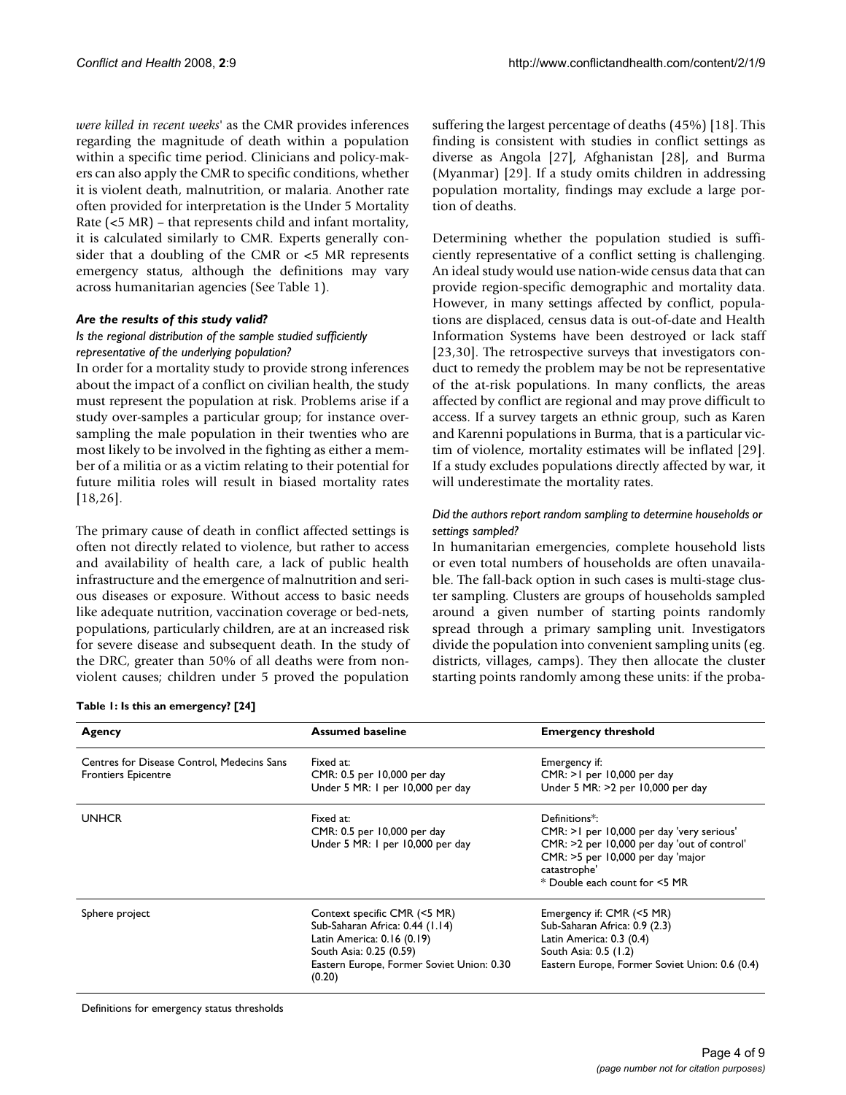*were killed in recent weeks*' as the CMR provides inferences regarding the magnitude of death within a population within a specific time period. Clinicians and policy-makers can also apply the CMR to specific conditions, whether it is violent death, malnutrition, or malaria. Another rate often provided for interpretation is the Under 5 Mortality Rate (<5 MR) – that represents child and infant mortality, it is calculated similarly to CMR. Experts generally consider that a doubling of the CMR or <5 MR represents emergency status, although the definitions may vary across humanitarian agencies (See Table 1).

#### *Are the results of this study valid?*

#### *Is the regional distribution of the sample studied sufficiently representative of the underlying population?*

In order for a mortality study to provide strong inferences about the impact of a conflict on civilian health, the study must represent the population at risk. Problems arise if a study over-samples a particular group; for instance oversampling the male population in their twenties who are most likely to be involved in the fighting as either a member of a militia or as a victim relating to their potential for future militia roles will result in biased mortality rates [18,26].

The primary cause of death in conflict affected settings is often not directly related to violence, but rather to access and availability of health care, a lack of public health infrastructure and the emergence of malnutrition and serious diseases or exposure. Without access to basic needs like adequate nutrition, vaccination coverage or bed-nets, populations, particularly children, are at an increased risk for severe disease and subsequent death. In the study of the DRC, greater than 50% of all deaths were from nonviolent causes; children under 5 proved the population suffering the largest percentage of deaths (45%) [18]. This finding is consistent with studies in conflict settings as diverse as Angola [27], Afghanistan [28], and Burma (Myanmar) [29]. If a study omits children in addressing population mortality, findings may exclude a large portion of deaths.

Determining whether the population studied is sufficiently representative of a conflict setting is challenging. An ideal study would use nation-wide census data that can provide region-specific demographic and mortality data. However, in many settings affected by conflict, populations are displaced, census data is out-of-date and Health Information Systems have been destroyed or lack staff [23,30]. The retrospective surveys that investigators conduct to remedy the problem may be not be representative of the at-risk populations. In many conflicts, the areas affected by conflict are regional and may prove difficult to access. If a survey targets an ethnic group, such as Karen and Karenni populations in Burma, that is a particular victim of violence, mortality estimates will be inflated [29]. If a study excludes populations directly affected by war, it will underestimate the mortality rates.

# *Did the authors report random sampling to determine households or settings sampled?*

In humanitarian emergencies, complete household lists or even total numbers of households are often unavailable. The fall-back option in such cases is multi-stage cluster sampling. Clusters are groups of households sampled around a given number of starting points randomly spread through a primary sampling unit. Investigators divide the population into convenient sampling units (eg. districts, villages, camps). They then allocate the cluster starting points randomly among these units: if the proba-

| <b>Assumed baseline</b>                             | <b>Emergency threshold</b>                        |
|-----------------------------------------------------|---------------------------------------------------|
| Fixed at:                                           | Emergency if:                                     |
| CMR: 0.5 per 10,000 per day                         | $CMR$ : $>1$ per 10,000 per day                   |
| Under 5 MR: I per 10,000 per day                    | Under 5 MR: >2 per 10,000 per day                 |
| Fixed at:                                           | Definitions*:                                     |
| CMR: 0.5 per 10,000 per day                         | CMR: >1 per 10,000 per day 'very serious'         |
| Under 5 MR: I per 10,000 per day                    | CMR: >2 per 10,000 per day 'out of control'       |
|                                                     | CMR: >5 per 10,000 per day 'major<br>catastrophe' |
|                                                     | * Double each count for <5 MR                     |
| Context specific CMR (<5 MR)                        | Emergency if: CMR (<5 MR)                         |
| Sub-Saharan Africa: 0.44 (1.14)                     | Sub-Saharan Africa: 0.9 (2.3)                     |
| Latin America: 0.16 (0.19)                          | Latin America: 0.3 (0.4)                          |
| South Asia: 0.25 (0.59)                             | South Asia: 0.5 (1.2)                             |
| Eastern Europe, Former Soviet Union: 0.30<br>(0.20) | Eastern Europe, Former Soviet Union: 0.6 (0.4)    |
|                                                     |                                                   |

**Table 1: Is this an emergency? [24]**

Definitions for emergency status thresholds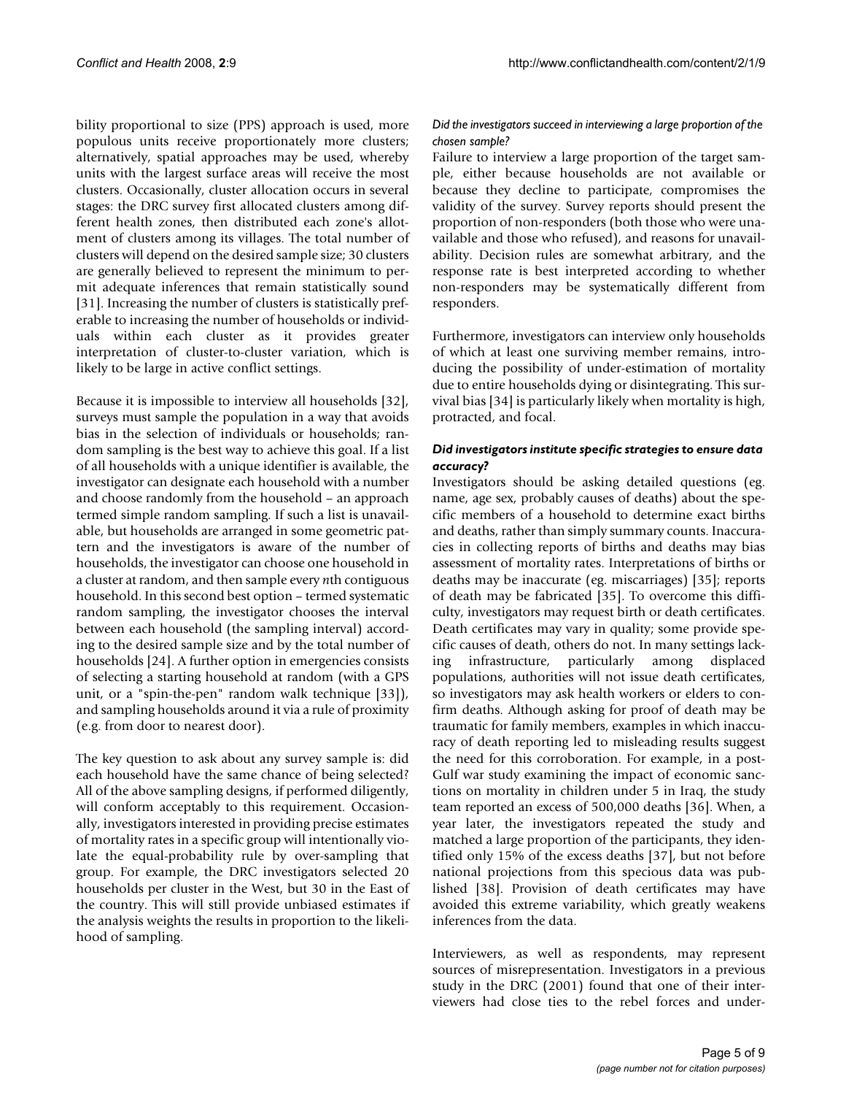bility proportional to size (PPS) approach is used, more populous units receive proportionately more clusters; alternatively, spatial approaches may be used, whereby units with the largest surface areas will receive the most clusters. Occasionally, cluster allocation occurs in several stages: the DRC survey first allocated clusters among different health zones, then distributed each zone's allotment of clusters among its villages. The total number of clusters will depend on the desired sample size; 30 clusters are generally believed to represent the minimum to permit adequate inferences that remain statistically sound [31]. Increasing the number of clusters is statistically preferable to increasing the number of households or individuals within each cluster as it provides greater interpretation of cluster-to-cluster variation, which is likely to be large in active conflict settings.

Because it is impossible to interview all households [32], surveys must sample the population in a way that avoids bias in the selection of individuals or households; random sampling is the best way to achieve this goal. If a list of all households with a unique identifier is available, the investigator can designate each household with a number and choose randomly from the household – an approach termed simple random sampling. If such a list is unavailable, but households are arranged in some geometric pattern and the investigators is aware of the number of households, the investigator can choose one household in a cluster at random, and then sample every *n*th contiguous household. In this second best option – termed systematic random sampling, the investigator chooses the interval between each household (the sampling interval) according to the desired sample size and by the total number of households [24]. A further option in emergencies consists of selecting a starting household at random (with a GPS unit, or a "spin-the-pen" random walk technique [33]), and sampling households around it via a rule of proximity (e.g. from door to nearest door).

The key question to ask about any survey sample is: did each household have the same chance of being selected? All of the above sampling designs, if performed diligently, will conform acceptably to this requirement. Occasionally, investigators interested in providing precise estimates of mortality rates in a specific group will intentionally violate the equal-probability rule by over-sampling that group. For example, the DRC investigators selected 20 households per cluster in the West, but 30 in the East of the country. This will still provide unbiased estimates if the analysis weights the results in proportion to the likelihood of sampling.

# *Did the investigators succeed in interviewing a large proportion of the chosen sample?*

Failure to interview a large proportion of the target sample, either because households are not available or because they decline to participate, compromises the validity of the survey. Survey reports should present the proportion of non-responders (both those who were unavailable and those who refused), and reasons for unavailability. Decision rules are somewhat arbitrary, and the response rate is best interpreted according to whether non-responders may be systematically different from responders.

Furthermore, investigators can interview only households of which at least one surviving member remains, introducing the possibility of under-estimation of mortality due to entire households dying or disintegrating. This survival bias [34] is particularly likely when mortality is high, protracted, and focal.

# *Did investigators institute specific strategies to ensure data accuracy?*

Investigators should be asking detailed questions (eg. name, age sex, probably causes of deaths) about the specific members of a household to determine exact births and deaths, rather than simply summary counts. Inaccuracies in collecting reports of births and deaths may bias assessment of mortality rates. Interpretations of births or deaths may be inaccurate (eg. miscarriages) [35]; reports of death may be fabricated [35]. To overcome this difficulty, investigators may request birth or death certificates. Death certificates may vary in quality; some provide specific causes of death, others do not. In many settings lacking infrastructure, particularly among displaced populations, authorities will not issue death certificates, so investigators may ask health workers or elders to confirm deaths. Although asking for proof of death may be traumatic for family members, examples in which inaccuracy of death reporting led to misleading results suggest the need for this corroboration. For example, in a post-Gulf war study examining the impact of economic sanctions on mortality in children under 5 in Iraq, the study team reported an excess of 500,000 deaths [36]. When, a year later, the investigators repeated the study and matched a large proportion of the participants, they identified only 15% of the excess deaths [37], but not before national projections from this specious data was published [38]. Provision of death certificates may have avoided this extreme variability, which greatly weakens inferences from the data.

Interviewers, as well as respondents, may represent sources of misrepresentation. Investigators in a previous study in the DRC (2001) found that one of their interviewers had close ties to the rebel forces and under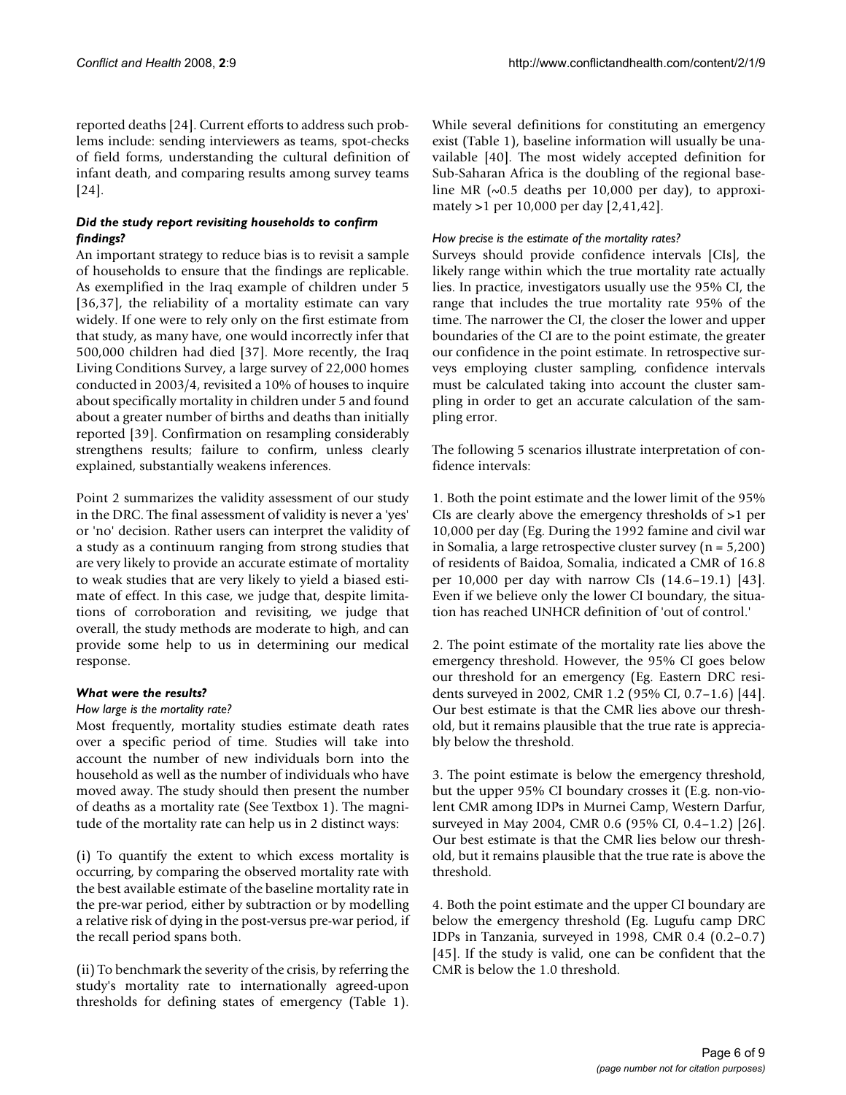reported deaths [24]. Current efforts to address such problems include: sending interviewers as teams, spot-checks of field forms, understanding the cultural definition of infant death, and comparing results among survey teams [24].

## *Did the study report revisiting households to confirm findings?*

An important strategy to reduce bias is to revisit a sample of households to ensure that the findings are replicable. As exemplified in the Iraq example of children under 5 [36,37], the reliability of a mortality estimate can vary widely. If one were to rely only on the first estimate from that study, as many have, one would incorrectly infer that 500,000 children had died [37]. More recently, the Iraq Living Conditions Survey, a large survey of 22,000 homes conducted in 2003/4, revisited a 10% of houses to inquire about specifically mortality in children under 5 and found about a greater number of births and deaths than initially reported [39]. Confirmation on resampling considerably strengthens results; failure to confirm, unless clearly explained, substantially weakens inferences.

Point 2 summarizes the validity assessment of our study in the DRC. The final assessment of validity is never a 'yes' or 'no' decision. Rather users can interpret the validity of a study as a continuum ranging from strong studies that are very likely to provide an accurate estimate of mortality to weak studies that are very likely to yield a biased estimate of effect. In this case, we judge that, despite limitations of corroboration and revisiting, we judge that overall, the study methods are moderate to high, and can provide some help to us in determining our medical response.

## *What were the results?*

## *How large is the mortality rate?*

Most frequently, mortality studies estimate death rates over a specific period of time. Studies will take into account the number of new individuals born into the household as well as the number of individuals who have moved away. The study should then present the number of deaths as a mortality rate (See Textbox 1). The magnitude of the mortality rate can help us in 2 distinct ways:

(i) To quantify the extent to which excess mortality is occurring, by comparing the observed mortality rate with the best available estimate of the baseline mortality rate in the pre-war period, either by subtraction or by modelling a relative risk of dying in the post-versus pre-war period, if the recall period spans both.

(ii) To benchmark the severity of the crisis, by referring the study's mortality rate to internationally agreed-upon thresholds for defining states of emergency (Table 1). While several definitions for constituting an emergency exist (Table 1), baseline information will usually be unavailable [40]. The most widely accepted definition for Sub-Saharan Africa is the doubling of the regional baseline MR ( $\sim$ 0.5 deaths per 10,000 per day), to approximately >1 per 10,000 per day [[2,](#page-7-0)41,42].

#### *How precise is the estimate of the mortality rates?*

Surveys should provide confidence intervals [CIs], the likely range within which the true mortality rate actually lies. In practice, investigators usually use the 95% CI, the range that includes the true mortality rate 95% of the time. The narrower the CI, the closer the lower and upper boundaries of the CI are to the point estimate, the greater our confidence in the point estimate. In retrospective surveys employing cluster sampling, confidence intervals must be calculated taking into account the cluster sampling in order to get an accurate calculation of the sampling error.

The following 5 scenarios illustrate interpretation of confidence intervals:

1. Both the point estimate and the lower limit of the 95% CIs are clearly above the emergency thresholds of >1 per 10,000 per day (Eg. During the 1992 famine and civil war in Somalia, a large retrospective cluster survey  $(n = 5,200)$ of residents of Baidoa, Somalia, indicated a CMR of 16.8 per 10,000 per day with narrow CIs (14.6–19.1) [43]. Even if we believe only the lower CI boundary, the situation has reached UNHCR definition of 'out of control.'

2. The point estimate of the mortality rate lies above the emergency threshold. However, the 95% CI goes below our threshold for an emergency (Eg. Eastern DRC residents surveyed in 2002, CMR 1.2 (95% CI, 0.7–1.6) [44]. Our best estimate is that the CMR lies above our threshold, but it remains plausible that the true rate is appreciably below the threshold.

3. The point estimate is below the emergency threshold, but the upper 95% CI boundary crosses it (E.g. non-violent CMR among IDPs in Murnei Camp, Western Darfur, surveyed in May 2004, CMR 0.6 (95% CI, 0.4–1.2) [26]. Our best estimate is that the CMR lies below our threshold, but it remains plausible that the true rate is above the threshold.

4. Both the point estimate and the upper CI boundary are below the emergency threshold (Eg. Lugufu camp DRC IDPs in Tanzania, surveyed in 1998, CMR 0.4 (0.2–0.7) [45]. If the study is valid, one can be confident that the CMR is below the 1.0 threshold.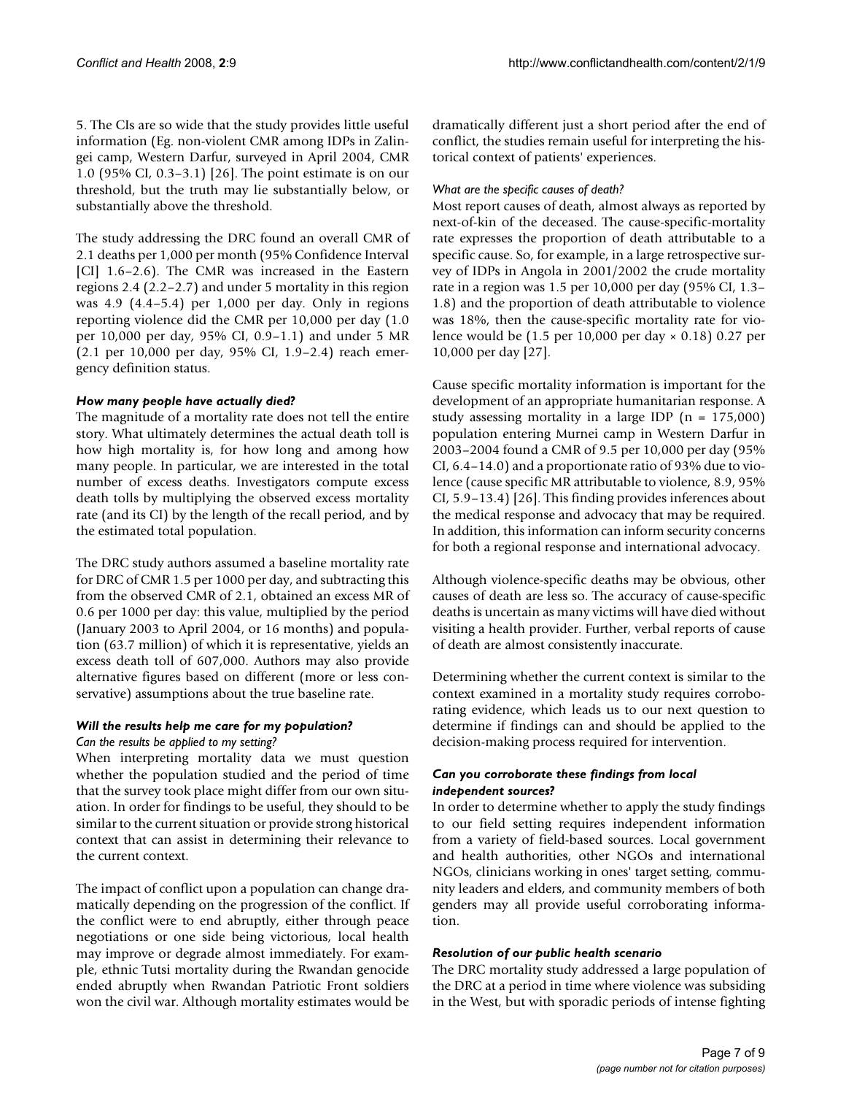5. The CIs are so wide that the study provides little useful information (Eg. non-violent CMR among IDPs in Zalingei camp, Western Darfur, surveyed in April 2004, CMR 1.0 (95% CI, 0.3–3.1) [26]. The point estimate is on our threshold, but the truth may lie substantially below, or substantially above the threshold.

The study addressing the DRC found an overall CMR of 2.1 deaths per 1,000 per month (95% Confidence Interval [CI] 1.6–2.6). The CMR was increased in the Eastern regions 2.4 (2.2–2.7) and under 5 mortality in this region was 4.9 (4.4–5.4) per 1,000 per day. Only in regions reporting violence did the CMR per 10,000 per day (1.0 per 10,000 per day, 95% CI, 0.9–1.1) and under 5 MR (2.1 per 10,000 per day, 95% CI, 1.9–2.4) reach emergency definition status.

# *How many people have actually died?*

The magnitude of a mortality rate does not tell the entire story. What ultimately determines the actual death toll is how high mortality is, for how long and among how many people. In particular, we are interested in the total number of excess deaths. Investigators compute excess death tolls by multiplying the observed excess mortality rate (and its CI) by the length of the recall period, and by the estimated total population.

The DRC study authors assumed a baseline mortality rate for DRC of CMR 1.5 per 1000 per day, and subtracting this from the observed CMR of 2.1, obtained an excess MR of 0.6 per 1000 per day: this value, multiplied by the period (January 2003 to April 2004, or 16 months) and population (63.7 million) of which it is representative, yields an excess death toll of 607,000. Authors may also provide alternative figures based on different (more or less conservative) assumptions about the true baseline rate.

#### *Will the results help me care for my population? Can the results be applied to my setting?*

When interpreting mortality data we must question whether the population studied and the period of time that the survey took place might differ from our own situation. In order for findings to be useful, they should to be similar to the current situation or provide strong historical context that can assist in determining their relevance to the current context.

The impact of conflict upon a population can change dramatically depending on the progression of the conflict. If the conflict were to end abruptly, either through peace negotiations or one side being victorious, local health may improve or degrade almost immediately. For example, ethnic Tutsi mortality during the Rwandan genocide ended abruptly when Rwandan Patriotic Front soldiers won the civil war. Although mortality estimates would be dramatically different just a short period after the end of conflict, the studies remain useful for interpreting the historical context of patients' experiences.

# *What are the specific causes of death?*

Most report causes of death, almost always as reported by next-of-kin of the deceased. The cause-specific-mortality rate expresses the proportion of death attributable to a specific cause. So, for example, in a large retrospective survey of IDPs in Angola in 2001/2002 the crude mortality rate in a region was 1.5 per 10,000 per day (95% CI, 1.3– 1.8) and the proportion of death attributable to violence was 18%, then the cause-specific mortality rate for violence would be (1.5 per 10,000 per day × 0.18) 0.27 per 10,000 per day [27].

Cause specific mortality information is important for the development of an appropriate humanitarian response. A study assessing mortality in a large IDP  $(n = 175,000)$ population entering Murnei camp in Western Darfur in 2003–2004 found a CMR of 9.5 per 10,000 per day (95% CI, 6.4–14.0) and a proportionate ratio of 93% due to violence (cause specific MR attributable to violence, 8.9, 95% CI, 5.9–13.4) [26]. This finding provides inferences about the medical response and advocacy that may be required. In addition, this information can inform security concerns for both a regional response and international advocacy.

Although violence-specific deaths may be obvious, other causes of death are less so. The accuracy of cause-specific deaths is uncertain as many victims will have died without visiting a health provider. Further, verbal reports of cause of death are almost consistently inaccurate.

Determining whether the current context is similar to the context examined in a mortality study requires corroborating evidence, which leads us to our next question to determine if findings can and should be applied to the decision-making process required for intervention.

# *Can you corroborate these findings from local independent sources?*

In order to determine whether to apply the study findings to our field setting requires independent information from a variety of field-based sources. Local government and health authorities, other NGOs and international NGOs, clinicians working in ones' target setting, community leaders and elders, and community members of both genders may all provide useful corroborating information.

## *Resolution of our public health scenario*

The DRC mortality study addressed a large population of the DRC at a period in time where violence was subsiding in the West, but with sporadic periods of intense fighting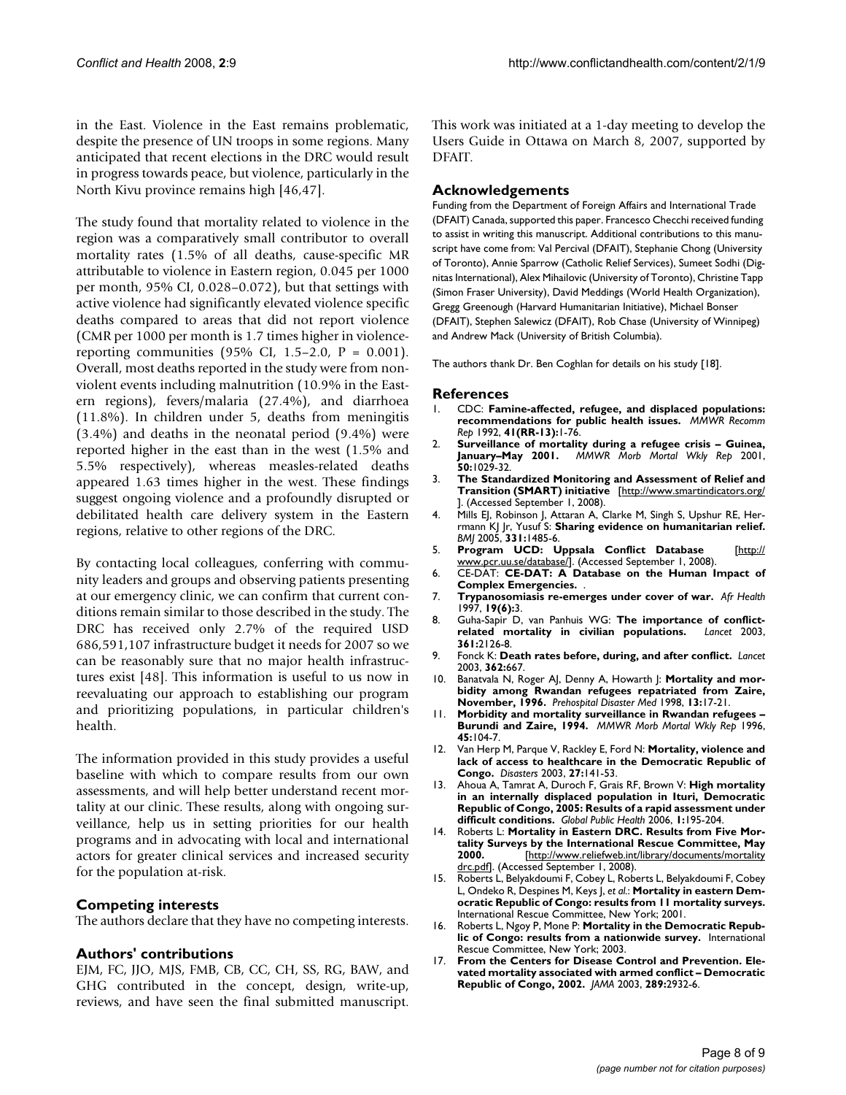in the East. Violence in the East remains problematic, despite the presence of UN troops in some regions. Many anticipated that recent elections in the DRC would result in progress towards peace, but violence, particularly in the North Kivu province remains high [46,47].

The study found that mortality related to violence in the region was a comparatively small contributor to overall mortality rates (1.5% of all deaths, cause-specific MR attributable to violence in Eastern region, 0.045 per 1000 per month, 95% CI, 0.028–0.072), but that settings with active violence had significantly elevated violence specific deaths compared to areas that did not report violence (CMR per 1000 per month is 1.7 times higher in violencereporting communities (95% CI, 1.5–2.0,  $P = 0.001$ ). Overall, most deaths reported in the study were from nonviolent events including malnutrition (10.9% in the Eastern regions), fevers/malaria (27.4%), and diarrhoea (11.8%). In children under 5, deaths from meningitis (3.4%) and deaths in the neonatal period (9.4%) were reported higher in the east than in the west (1.5% and 5.5% respectively), whereas measles-related deaths appeared 1.63 times higher in the west. These findings suggest ongoing violence and a profoundly disrupted or debilitated health care delivery system in the Eastern regions, relative to other regions of the DRC.

By contacting local colleagues, conferring with community leaders and groups and observing patients presenting at our emergency clinic, we can confirm that current conditions remain similar to those described in the study. The DRC has received only 2.7% of the required USD 686,591,107 infrastructure budget it needs for 2007 so we can be reasonably sure that no major health infrastructures exist [48]. This information is useful to us now in reevaluating our approach to establishing our program and prioritizing populations, in particular children's health.

The information provided in this study provides a useful baseline with which to compare results from our own assessments, and will help better understand recent mortality at our clinic. These results, along with ongoing surveillance, help us in setting priorities for our health programs and in advocating with local and international actors for greater clinical services and increased security for the population at-risk.

#### **Competing interests**

The authors declare that they have no competing interests.

#### **Authors' contributions**

EJM, FC, JJO, MJS, FMB, CB, CC, CH, SS, RG, BAW, and GHG contributed in the concept, design, write-up, reviews, and have seen the final submitted manuscript.

This work was initiated at a 1-day meeting to develop the Users Guide in Ottawa on March 8, 2007, supported by DFAIT.

#### **Acknowledgements**

Funding from the Department of Foreign Affairs and International Trade (DFAIT) Canada, supported this paper. Francesco Checchi received funding to assist in writing this manuscript. Additional contributions to this manuscript have come from: Val Percival (DFAIT), Stephanie Chong (University of Toronto), Annie Sparrow (Catholic Relief Services), Sumeet Sodhi (Dignitas International), Alex Mihailovic (University of Toronto), Christine Tapp (Simon Fraser University), David Meddings (World Health Organization), Gregg Greenough (Harvard Humanitarian Initiative), Michael Bonser (DFAIT), Stephen Salewicz (DFAIT), Rob Chase (University of Winnipeg) and Andrew Mack (University of British Columbia).

The authors thank Dr. Ben Coghlan for details on his study [18].

#### **References**

- 1. CDC: **Famine-affected, refugee, and displaced populations: recommendations for public health issues.** *MMWR Recomm Rep* 1992, **41(RR-13):**1-76.
- <span id="page-7-0"></span>2. **[Surveillance of mortality during a refugee crisis – Guinea,](http://www.ncbi.nlm.nih.gov/entrez/query.fcgi?cmd=Retrieve&db=PubMed&dopt=Abstract&list_uids=11902347) [January–May 2001.](http://www.ncbi.nlm.nih.gov/entrez/query.fcgi?cmd=Retrieve&db=PubMed&dopt=Abstract&list_uids=11902347)** *MMWR Morb Mortal Wkly Rep* 2001, **50:**1029-32.
- 3. **The Standardized Monitoring and Assessment of Relief and Transition (SMART) initiative** [\[http://www.smartindicators.org/](http://www.smartindicators.org/) ]. (Accessed September 1, 2008).
- 4. Mills EJ, Robinson J, Attaran A, Clarke M, Singh S, Upshur RE, Herrmann KJ Jr, Yusuf S: **[Sharing evidence on humanitarian relief.](http://www.ncbi.nlm.nih.gov/entrez/query.fcgi?cmd=Retrieve&db=PubMed&dopt=Abstract&list_uids=16373720)** *BMJ* 2005, **331:**1485-6.
- 5. **Program UCD: Uppsala Conflict Database** [\[http://](http://www.pcr.uu.se/database/) [www.pcr.uu.se/database/\]](http://www.pcr.uu.se/database/). (Accessed September 1, 2008).
- 6. CE-DAT: **CE-DAT: A Database on the Human Impact of Complex Emergencies.** .
- 7. **Trypanosomiasis re-emerges under cover of war.** *Afr Health* 1997, **19(6):**3.
- 8. Guha-Sapir D, van Panhuis WG: **[The importance of conflict](http://www.ncbi.nlm.nih.gov/entrez/query.fcgi?cmd=Retrieve&db=PubMed&dopt=Abstract&list_uids=12826439)[related mortality in civilian populations.](http://www.ncbi.nlm.nih.gov/entrez/query.fcgi?cmd=Retrieve&db=PubMed&dopt=Abstract&list_uids=12826439)** *Lancet* 2003, **361:**2126-8.
- 9. Fonck K: **[Death rates before, during, and after conflict.](http://www.ncbi.nlm.nih.gov/entrez/query.fcgi?cmd=Retrieve&db=PubMed&dopt=Abstract&list_uids=12944076)** *Lancet* 2003, **362:**667.
- 10. Banatvala N, Roger AJ, Denny A, Howarth J: **[Mortality and mor](http://www.ncbi.nlm.nih.gov/entrez/query.fcgi?cmd=Retrieve&db=PubMed&dopt=Abstract&list_uids=10346403)[bidity among Rwandan refugees repatriated from Zaire,](http://www.ncbi.nlm.nih.gov/entrez/query.fcgi?cmd=Retrieve&db=PubMed&dopt=Abstract&list_uids=10346403) [November, 1996.](http://www.ncbi.nlm.nih.gov/entrez/query.fcgi?cmd=Retrieve&db=PubMed&dopt=Abstract&list_uids=10346403)** *Prehospital Disaster Med* 1998, **13:**17-21.
- <span id="page-7-1"></span>11. **[Morbidity and mortality surveillance in Rwandan refugees –](http://www.ncbi.nlm.nih.gov/entrez/query.fcgi?cmd=Retrieve&db=PubMed&dopt=Abstract&list_uids=8592491) [Burundi and Zaire, 1994.](http://www.ncbi.nlm.nih.gov/entrez/query.fcgi?cmd=Retrieve&db=PubMed&dopt=Abstract&list_uids=8592491)** *MMWR Morb Mortal Wkly Rep* 1996, **45:**104-7.
- 12. Van Herp M, Parque V, Rackley E, Ford N: **[Mortality, violence and](http://www.ncbi.nlm.nih.gov/entrez/query.fcgi?cmd=Retrieve&db=PubMed&dopt=Abstract&list_uids=12825437) [lack of access to healthcare in the Democratic Republic of](http://www.ncbi.nlm.nih.gov/entrez/query.fcgi?cmd=Retrieve&db=PubMed&dopt=Abstract&list_uids=12825437) [Congo.](http://www.ncbi.nlm.nih.gov/entrez/query.fcgi?cmd=Retrieve&db=PubMed&dopt=Abstract&list_uids=12825437)** *Disasters* 2003, **27:**141-53.
- 13. Ahoua A, Tamrat A, Duroch F, Grais RF, Brown V: **High mortality in an internally displaced population in Ituri, Democratic Republic of Congo, 2005: Results of a rapid assessment under difficult conditions.** *Global Public Health* 2006, **1:**195-204.
- 14. Roberts L: **Mortality in Eastern DRC. Results from Five Mortality Surveys by the International Rescue Committee, May 2000.** [[http://www.reliefweb.int/library/documents/mortality](http://www.reliefweb.int/library/documents/mortalitydrc.pdf) [drc.pdf\]](http://www.reliefweb.int/library/documents/mortalitydrc.pdf). (Accessed September 1, 2008).
- 15. Roberts L, Belyakdoumi F, Cobey L, Roberts L, Belyakdoumi F, Cobey L, Ondeko R, Despines M, Keys J, *et al.*: **Mortality in eastern Democratic Republic of Congo: results from 11 mortality surveys.** International Rescue Committee, New York; 2001.
- 16. Roberts L, Ngoy P, Mone P: **Mortality in the Democratic Republic of Congo: results from a nationwide survey.** International Rescue Committee, New York; 2003.
- 17. **From the Centers for Disease Control and Prevention. Elevated mortality associated with armed conflict – Democratic Republic of Congo, 2002.** *JAMA* 2003, **289:**2932-6.